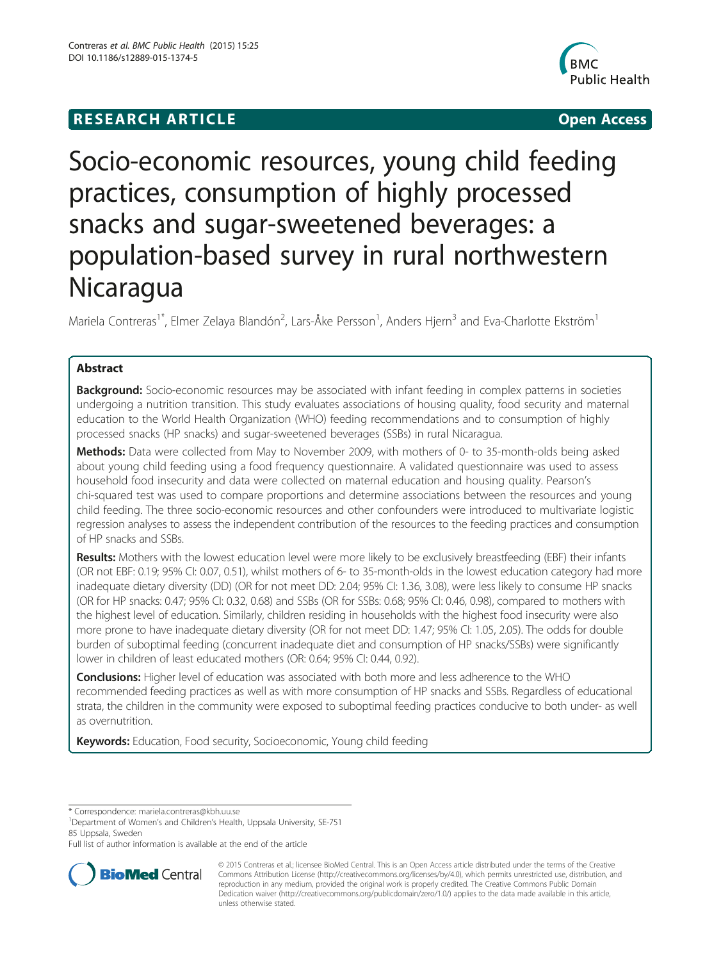## **RESEARCH ARTICLE Example 2014 12:30 The SEAR CHIPS 2014 12:30 The Open Access**



# Socio-economic resources, young child feeding practices, consumption of highly processed snacks and sugar-sweetened beverages: a population-based survey in rural northwestern Nicaragua

Mariela Contreras<sup>1\*</sup>, Elmer Zelaya Blandón<sup>2</sup>, Lars-Åke Persson<sup>1</sup>, Anders Hjern<sup>3</sup> and Eva-Charlotte Ekström<sup>1</sup>

## Abstract

**Background:** Socio-economic resources may be associated with infant feeding in complex patterns in societies undergoing a nutrition transition. This study evaluates associations of housing quality, food security and maternal education to the World Health Organization (WHO) feeding recommendations and to consumption of highly processed snacks (HP snacks) and sugar-sweetened beverages (SSBs) in rural Nicaragua.

Methods: Data were collected from May to November 2009, with mothers of 0- to 35-month-olds being asked about young child feeding using a food frequency questionnaire. A validated questionnaire was used to assess household food insecurity and data were collected on maternal education and housing quality. Pearson's chi-squared test was used to compare proportions and determine associations between the resources and young child feeding. The three socio-economic resources and other confounders were introduced to multivariate logistic regression analyses to assess the independent contribution of the resources to the feeding practices and consumption of HP snacks and SSBs.

Results: Mothers with the lowest education level were more likely to be exclusively breastfeeding (EBF) their infants (OR not EBF: 0.19; 95% CI: 0.07, 0.51), whilst mothers of 6- to 35-month-olds in the lowest education category had more inadequate dietary diversity (DD) (OR for not meet DD: 2.04; 95% CI: 1.36, 3.08), were less likely to consume HP snacks (OR for HP snacks: 0.47; 95% CI: 0.32, 0.68) and SSBs (OR for SSBs: 0.68; 95% CI: 0.46, 0.98), compared to mothers with the highest level of education. Similarly, children residing in households with the highest food insecurity were also more prone to have inadequate dietary diversity (OR for not meet DD: 1.47; 95% CI: 1.05, 2.05). The odds for double burden of suboptimal feeding (concurrent inadequate diet and consumption of HP snacks/SSBs) were significantly lower in children of least educated mothers (OR: 0.64; 95% CI: 0.44, 0.92).

**Conclusions:** Higher level of education was associated with both more and less adherence to the WHO recommended feeding practices as well as with more consumption of HP snacks and SSBs. Regardless of educational strata, the children in the community were exposed to suboptimal feeding practices conducive to both under- as well as overnutrition.

Keywords: Education, Food security, Socioeconomic, Young child feeding

\* Correspondence: [mariela.contreras@kbh.uu.se](mailto:mariela.contreras@kbh.uu.se) <sup>1</sup>

<sup>1</sup>Department of Women's and Children's Health, Uppsala University, SE-751 85 Uppsala, Sweden

Full list of author information is available at the end of the article



© 2015 Contreras et al.; licensee BioMed Central. This is an Open Access article distributed under the terms of the Creative Commons Attribution License [\(http://creativecommons.org/licenses/by/4.0\)](http://creativecommons.org/licenses/by/4.0), which permits unrestricted use, distribution, and reproduction in any medium, provided the original work is properly credited. The Creative Commons Public Domain Dedication waiver [\(http://creativecommons.org/publicdomain/zero/1.0/](http://creativecommons.org/publicdomain/zero/1.0/)) applies to the data made available in this article, unless otherwise stated.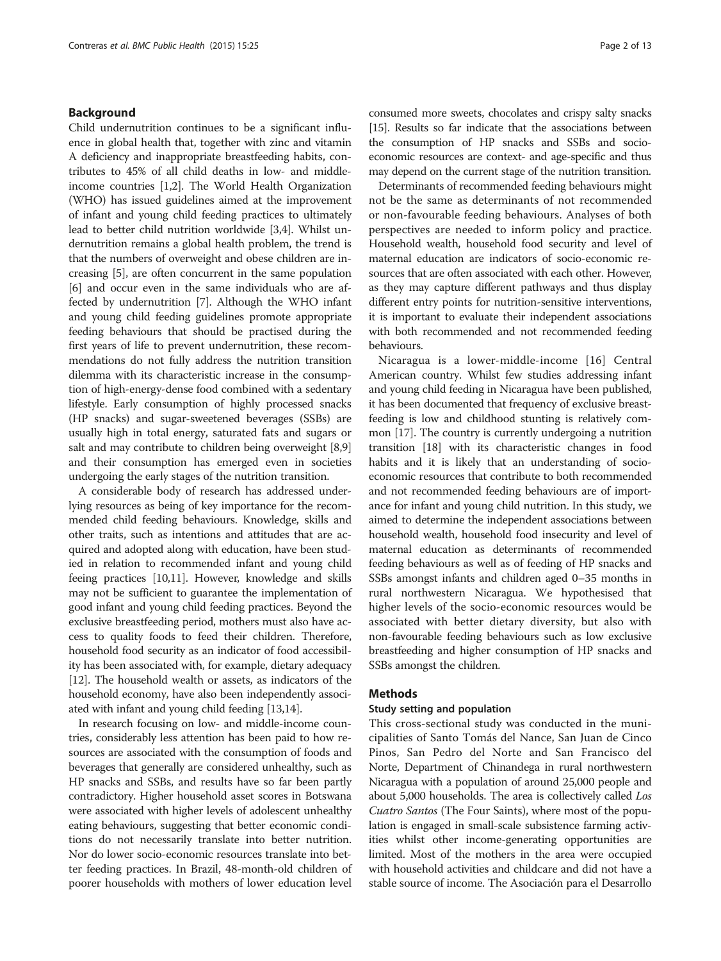#### Background

Child undernutrition continues to be a significant influence in global health that, together with zinc and vitamin A deficiency and inappropriate breastfeeding habits, contributes to 45% of all child deaths in low- and middleincome countries [\[1,2\]](#page-11-0). The World Health Organization (WHO) has issued guidelines aimed at the improvement of infant and young child feeding practices to ultimately lead to better child nutrition worldwide [[3,4](#page-11-0)]. Whilst undernutrition remains a global health problem, the trend is that the numbers of overweight and obese children are increasing [[5\]](#page-11-0), are often concurrent in the same population [[6\]](#page-11-0) and occur even in the same individuals who are affected by undernutrition [\[7\]](#page-11-0). Although the WHO infant and young child feeding guidelines promote appropriate feeding behaviours that should be practised during the first years of life to prevent undernutrition, these recommendations do not fully address the nutrition transition dilemma with its characteristic increase in the consumption of high-energy-dense food combined with a sedentary lifestyle. Early consumption of highly processed snacks (HP snacks) and sugar-sweetened beverages (SSBs) are usually high in total energy, saturated fats and sugars or salt and may contribute to children being overweight [[8,9](#page-11-0)] and their consumption has emerged even in societies undergoing the early stages of the nutrition transition.

A considerable body of research has addressed underlying resources as being of key importance for the recommended child feeding behaviours. Knowledge, skills and other traits, such as intentions and attitudes that are acquired and adopted along with education, have been studied in relation to recommended infant and young child feeing practices [\[10,11](#page-11-0)]. However, knowledge and skills may not be sufficient to guarantee the implementation of good infant and young child feeding practices. Beyond the exclusive breastfeeding period, mothers must also have access to quality foods to feed their children. Therefore, household food security as an indicator of food accessibility has been associated with, for example, dietary adequacy [[12](#page-11-0)]. The household wealth or assets, as indicators of the household economy, have also been independently associated with infant and young child feeding [\[13,14\]](#page-11-0).

In research focusing on low- and middle-income countries, considerably less attention has been paid to how resources are associated with the consumption of foods and beverages that generally are considered unhealthy, such as HP snacks and SSBs, and results have so far been partly contradictory. Higher household asset scores in Botswana were associated with higher levels of adolescent unhealthy eating behaviours, suggesting that better economic conditions do not necessarily translate into better nutrition. Nor do lower socio-economic resources translate into better feeding practices. In Brazil, 48-month-old children of poorer households with mothers of lower education level

consumed more sweets, chocolates and crispy salty snacks [[15](#page-11-0)]. Results so far indicate that the associations between the consumption of HP snacks and SSBs and socioeconomic resources are context- and age-specific and thus may depend on the current stage of the nutrition transition.

Determinants of recommended feeding behaviours might not be the same as determinants of not recommended or non-favourable feeding behaviours. Analyses of both perspectives are needed to inform policy and practice. Household wealth, household food security and level of maternal education are indicators of socio-economic resources that are often associated with each other. However, as they may capture different pathways and thus display different entry points for nutrition-sensitive interventions, it is important to evaluate their independent associations with both recommended and not recommended feeding behaviours.

Nicaragua is a lower-middle-income [\[16](#page-11-0)] Central American country. Whilst few studies addressing infant and young child feeding in Nicaragua have been published, it has been documented that frequency of exclusive breastfeeding is low and childhood stunting is relatively common [\[17\]](#page-11-0). The country is currently undergoing a nutrition transition [\[18\]](#page-11-0) with its characteristic changes in food habits and it is likely that an understanding of socioeconomic resources that contribute to both recommended and not recommended feeding behaviours are of importance for infant and young child nutrition. In this study, we aimed to determine the independent associations between household wealth, household food insecurity and level of maternal education as determinants of recommended feeding behaviours as well as of feeding of HP snacks and SSBs amongst infants and children aged 0–35 months in rural northwestern Nicaragua. We hypothesised that higher levels of the socio-economic resources would be associated with better dietary diversity, but also with non-favourable feeding behaviours such as low exclusive breastfeeding and higher consumption of HP snacks and SSBs amongst the children.

### Methods

#### Study setting and population

This cross-sectional study was conducted in the municipalities of Santo Tomás del Nance, San Juan de Cinco Pinos, San Pedro del Norte and San Francisco del Norte, Department of Chinandega in rural northwestern Nicaragua with a population of around 25,000 people and about 5,000 households. The area is collectively called Los Cuatro Santos (The Four Saints), where most of the population is engaged in small-scale subsistence farming activities whilst other income-generating opportunities are limited. Most of the mothers in the area were occupied with household activities and childcare and did not have a stable source of income. The Asociación para el Desarrollo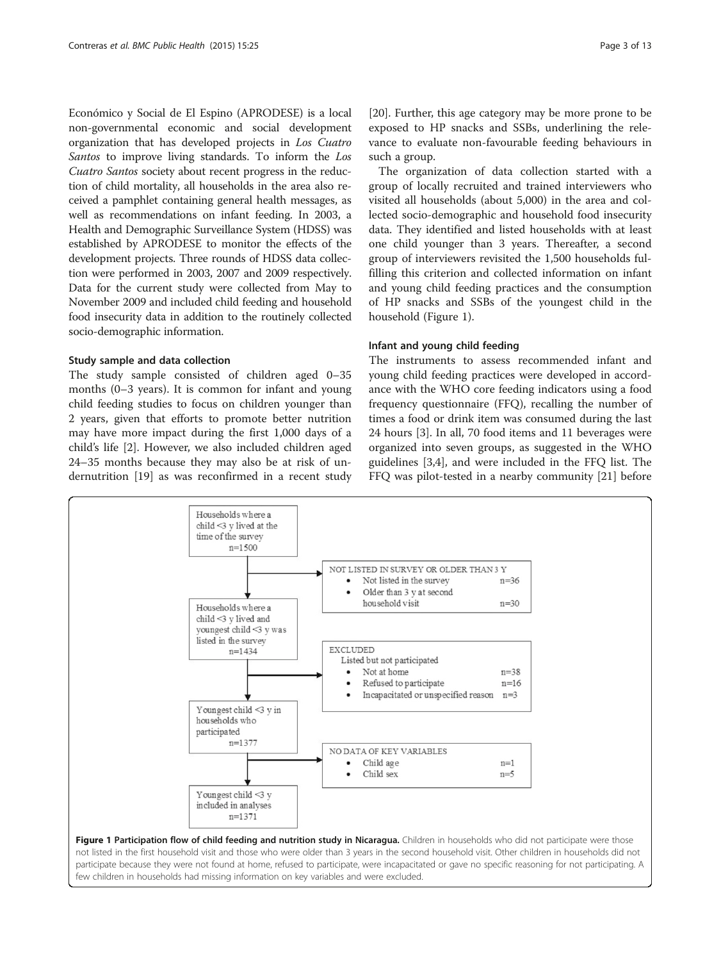<span id="page-2-0"></span>Económico y Social de El Espino (APRODESE) is a local non-governmental economic and social development organization that has developed projects in Los Cuatro Santos to improve living standards. To inform the Los Cuatro Santos society about recent progress in the reduction of child mortality, all households in the area also received a pamphlet containing general health messages, as well as recommendations on infant feeding. In 2003, a Health and Demographic Surveillance System (HDSS) was established by APRODESE to monitor the effects of the development projects. Three rounds of HDSS data collection were performed in 2003, 2007 and 2009 respectively. Data for the current study were collected from May to November 2009 and included child feeding and household food insecurity data in addition to the routinely collected socio-demographic information.

#### Study sample and data collection

The study sample consisted of children aged 0–35 months (0–3 years). It is common for infant and young child feeding studies to focus on children younger than 2 years, given that efforts to promote better nutrition may have more impact during the first 1,000 days of a child's life [[2\]](#page-11-0). However, we also included children aged 24–35 months because they may also be at risk of undernutrition [[19\]](#page-11-0) as was reconfirmed in a recent study

[[20\]](#page-11-0). Further, this age category may be more prone to be exposed to HP snacks and SSBs, underlining the relevance to evaluate non-favourable feeding behaviours in such a group.

The organization of data collection started with a group of locally recruited and trained interviewers who visited all households (about 5,000) in the area and collected socio-demographic and household food insecurity data. They identified and listed households with at least one child younger than 3 years. Thereafter, a second group of interviewers revisited the 1,500 households fulfilling this criterion and collected information on infant and young child feeding practices and the consumption of HP snacks and SSBs of the youngest child in the household (Figure 1).

#### Infant and young child feeding

The instruments to assess recommended infant and young child feeding practices were developed in accordance with the WHO core feeding indicators using a food frequency questionnaire (FFQ), recalling the number of times a food or drink item was consumed during the last 24 hours [[3\]](#page-11-0). In all, 70 food items and 11 beverages were organized into seven groups, as suggested in the WHO guidelines [[3](#page-11-0),[4\]](#page-11-0), and were included in the FFQ list. The FFQ was pilot-tested in a nearby community [[21\]](#page-11-0) before

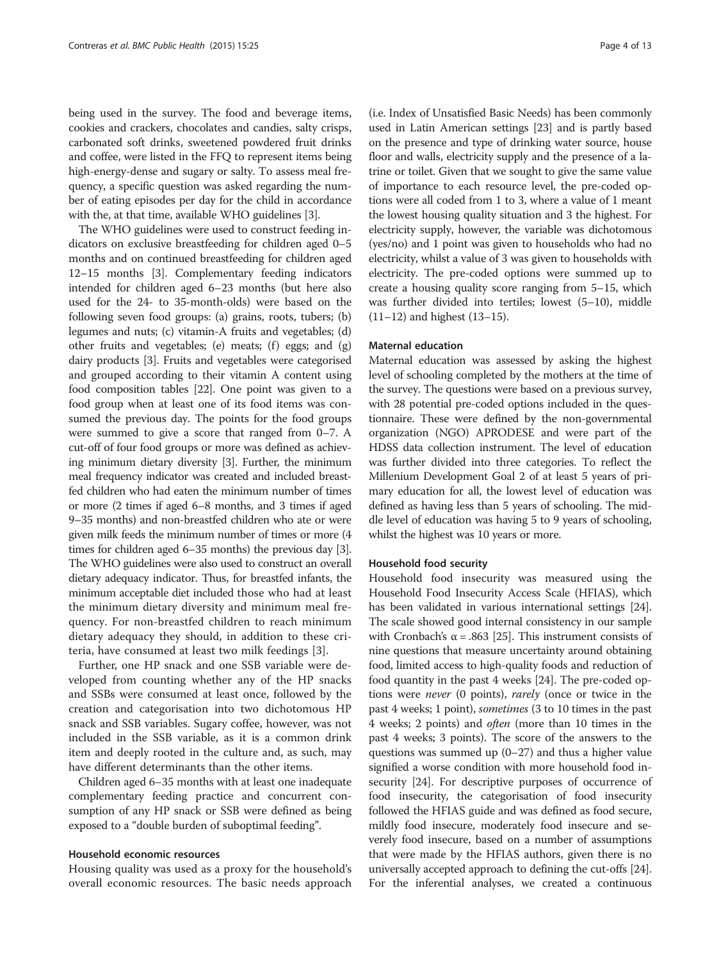being used in the survey. The food and beverage items, cookies and crackers, chocolates and candies, salty crisps, carbonated soft drinks, sweetened powdered fruit drinks and coffee, were listed in the FFQ to represent items being high-energy-dense and sugary or salty. To assess meal frequency, a specific question was asked regarding the number of eating episodes per day for the child in accordance with the, at that time, available WHO guidelines [[3](#page-11-0)].

The WHO guidelines were used to construct feeding indicators on exclusive breastfeeding for children aged 0–5 months and on continued breastfeeding for children aged 12–15 months [\[3](#page-11-0)]. Complementary feeding indicators intended for children aged 6–23 months (but here also used for the 24- to 35-month-olds) were based on the following seven food groups: (a) grains, roots, tubers; (b) legumes and nuts; (c) vitamin-A fruits and vegetables; (d) other fruits and vegetables; (e) meats; (f) eggs; and  $(g)$ dairy products [\[3](#page-11-0)]. Fruits and vegetables were categorised and grouped according to their vitamin A content using food composition tables [\[22\]](#page-11-0). One point was given to a food group when at least one of its food items was consumed the previous day. The points for the food groups were summed to give a score that ranged from 0–7. A cut-off of four food groups or more was defined as achieving minimum dietary diversity [\[3](#page-11-0)]. Further, the minimum meal frequency indicator was created and included breastfed children who had eaten the minimum number of times or more (2 times if aged 6–8 months, and 3 times if aged 9–35 months) and non-breastfed children who ate or were given milk feeds the minimum number of times or more (4 times for children aged 6–35 months) the previous day [[3](#page-11-0)]. The WHO guidelines were also used to construct an overall dietary adequacy indicator. Thus, for breastfed infants, the minimum acceptable diet included those who had at least the minimum dietary diversity and minimum meal frequency. For non-breastfed children to reach minimum dietary adequacy they should, in addition to these criteria, have consumed at least two milk feedings [\[3](#page-11-0)].

Further, one HP snack and one SSB variable were developed from counting whether any of the HP snacks and SSBs were consumed at least once, followed by the creation and categorisation into two dichotomous HP snack and SSB variables. Sugary coffee, however, was not included in the SSB variable, as it is a common drink item and deeply rooted in the culture and, as such, may have different determinants than the other items.

Children aged 6–35 months with at least one inadequate complementary feeding practice and concurrent consumption of any HP snack or SSB were defined as being exposed to a "double burden of suboptimal feeding".

#### Household economic resources

Housing quality was used as a proxy for the household's overall economic resources. The basic needs approach

(i.e. Index of Unsatisfied Basic Needs) has been commonly used in Latin American settings [[23](#page-11-0)] and is partly based on the presence and type of drinking water source, house floor and walls, electricity supply and the presence of a latrine or toilet. Given that we sought to give the same value of importance to each resource level, the pre-coded options were all coded from 1 to 3, where a value of 1 meant the lowest housing quality situation and 3 the highest. For electricity supply, however, the variable was dichotomous (yes/no) and 1 point was given to households who had no electricity, whilst a value of 3 was given to households with electricity. The pre-coded options were summed up to create a housing quality score ranging from 5–15, which was further divided into tertiles; lowest (5–10), middle (11–12) and highest (13–15).

#### Maternal education

Maternal education was assessed by asking the highest level of schooling completed by the mothers at the time of the survey. The questions were based on a previous survey, with 28 potential pre-coded options included in the questionnaire. These were defined by the non-governmental organization (NGO) APRODESE and were part of the HDSS data collection instrument. The level of education was further divided into three categories. To reflect the Millenium Development Goal 2 of at least 5 years of primary education for all, the lowest level of education was defined as having less than 5 years of schooling. The middle level of education was having 5 to 9 years of schooling, whilst the highest was 10 years or more.

#### Household food security

Household food insecurity was measured using the Household Food Insecurity Access Scale (HFIAS), which has been validated in various international settings [[24](#page-11-0)]. The scale showed good internal consistency in our sample with Cronbach's  $\alpha$  = .863 [\[25\]](#page-11-0). This instrument consists of nine questions that measure uncertainty around obtaining food, limited access to high-quality foods and reduction of food quantity in the past 4 weeks [\[24\]](#page-11-0). The pre-coded options were never (0 points), rarely (once or twice in the past 4 weeks; 1 point), sometimes (3 to 10 times in the past 4 weeks; 2 points) and often (more than 10 times in the past 4 weeks; 3 points). The score of the answers to the questions was summed up (0–27) and thus a higher value signified a worse condition with more household food insecurity [[24](#page-11-0)]. For descriptive purposes of occurrence of food insecurity, the categorisation of food insecurity followed the HFIAS guide and was defined as food secure, mildly food insecure, moderately food insecure and severely food insecure, based on a number of assumptions that were made by the HFIAS authors, given there is no universally accepted approach to defining the cut-offs [[24](#page-11-0)]. For the inferential analyses, we created a continuous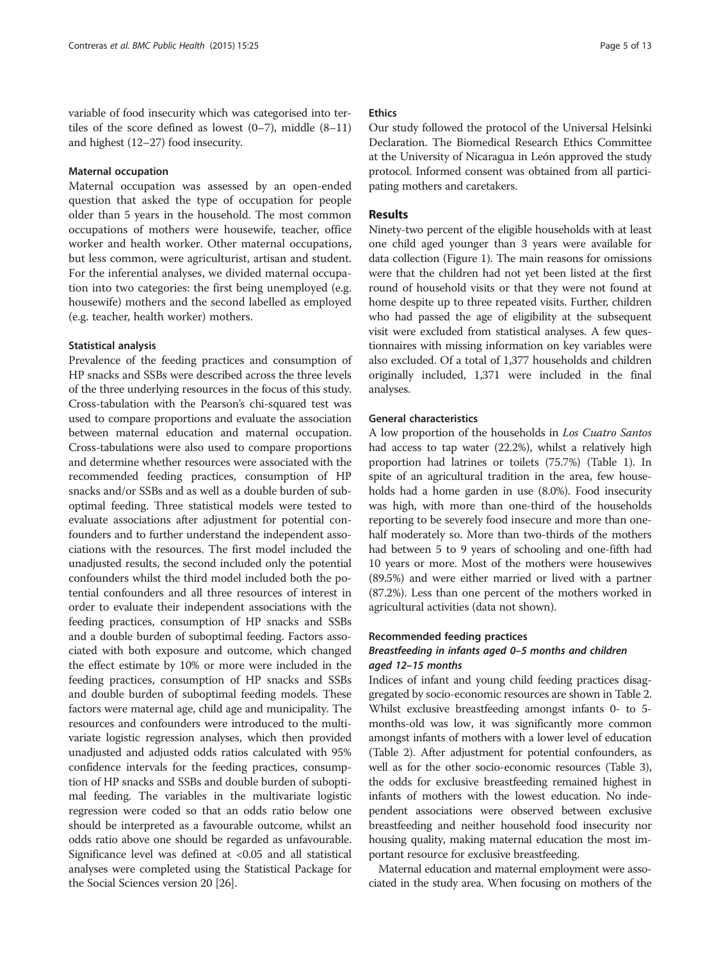variable of food insecurity which was categorised into tertiles of the score defined as lowest  $(0-7)$ , middle  $(8-11)$ and highest (12–27) food insecurity.

#### Maternal occupation

Maternal occupation was assessed by an open-ended question that asked the type of occupation for people older than 5 years in the household. The most common occupations of mothers were housewife, teacher, office worker and health worker. Other maternal occupations, but less common, were agriculturist, artisan and student. For the inferential analyses, we divided maternal occupation into two categories: the first being unemployed (e.g. housewife) mothers and the second labelled as employed (e.g. teacher, health worker) mothers.

#### Statistical analysis

Prevalence of the feeding practices and consumption of HP snacks and SSBs were described across the three levels of the three underlying resources in the focus of this study. Cross-tabulation with the Pearson's chi-squared test was used to compare proportions and evaluate the association between maternal education and maternal occupation. Cross-tabulations were also used to compare proportions and determine whether resources were associated with the recommended feeding practices, consumption of HP snacks and/or SSBs and as well as a double burden of suboptimal feeding. Three statistical models were tested to evaluate associations after adjustment for potential confounders and to further understand the independent associations with the resources. The first model included the unadjusted results, the second included only the potential confounders whilst the third model included both the potential confounders and all three resources of interest in order to evaluate their independent associations with the feeding practices, consumption of HP snacks and SSBs and a double burden of suboptimal feeding. Factors associated with both exposure and outcome, which changed the effect estimate by 10% or more were included in the feeding practices, consumption of HP snacks and SSBs and double burden of suboptimal feeding models. These factors were maternal age, child age and municipality. The resources and confounders were introduced to the multivariate logistic regression analyses, which then provided unadjusted and adjusted odds ratios calculated with 95% confidence intervals for the feeding practices, consumption of HP snacks and SSBs and double burden of suboptimal feeding. The variables in the multivariate logistic regression were coded so that an odds ratio below one should be interpreted as a favourable outcome, whilst an odds ratio above one should be regarded as unfavourable. Significance level was defined at <0.05 and all statistical analyses were completed using the Statistical Package for the Social Sciences version 20 [\[26\]](#page-11-0).

#### Ethics

Our study followed the protocol of the Universal Helsinki Declaration. The Biomedical Research Ethics Committee at the University of Nicaragua in León approved the study protocol. Informed consent was obtained from all participating mothers and caretakers.

## Results

Ninety-two percent of the eligible households with at least one child aged younger than 3 years were available for data collection (Figure [1](#page-2-0)). The main reasons for omissions were that the children had not yet been listed at the first round of household visits or that they were not found at home despite up to three repeated visits. Further, children who had passed the age of eligibility at the subsequent visit were excluded from statistical analyses. A few questionnaires with missing information on key variables were also excluded. Of a total of 1,377 households and children originally included, 1,371 were included in the final analyses.

#### General characteristics

A low proportion of the households in Los Cuatro Santos had access to tap water (22.2%), whilst a relatively high proportion had latrines or toilets (75.7%) (Table [1\)](#page-5-0). In spite of an agricultural tradition in the area, few households had a home garden in use (8.0%). Food insecurity was high, with more than one-third of the households reporting to be severely food insecure and more than onehalf moderately so. More than two-thirds of the mothers had between 5 to 9 years of schooling and one-fifth had 10 years or more. Most of the mothers were housewives (89.5%) and were either married or lived with a partner (87.2%). Less than one percent of the mothers worked in agricultural activities (data not shown).

#### Recommended feeding practices

#### Breastfeeding in infants aged 0–5 months and children aged 12–15 months

Indices of infant and young child feeding practices disaggregated by socio-economic resources are shown in Table [2](#page-6-0). Whilst exclusive breastfeeding amongst infants 0- to 5 months-old was low, it was significantly more common amongst infants of mothers with a lower level of education (Table [2](#page-6-0)). After adjustment for potential confounders, as well as for the other socio-economic resources (Table [3](#page-7-0)), the odds for exclusive breastfeeding remained highest in infants of mothers with the lowest education. No independent associations were observed between exclusive breastfeeding and neither household food insecurity nor housing quality, making maternal education the most important resource for exclusive breastfeeding.

Maternal education and maternal employment were associated in the study area. When focusing on mothers of the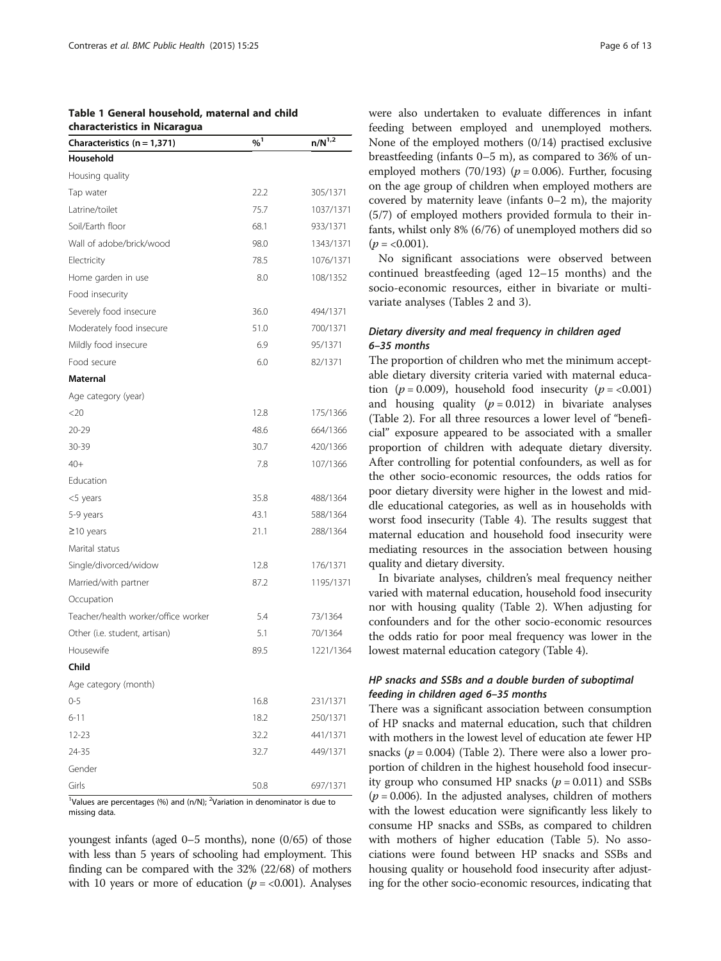<span id="page-5-0"></span>Table 1 General household, maternal and child characteristics in Nicaragua

| Household<br>Housing quality<br>Tap water<br>22.2<br>305/1371<br>Latrine/toilet<br>75.7<br>1037/1371<br>Soil/Earth floor<br>68.1<br>933/1371<br>Wall of adobe/brick/wood<br>98.0<br>1343/1371<br>78.5<br>1076/1371<br>Electricity<br>Home garden in use<br>8.0<br>108/1352<br>Food insecurity<br>Severely food insecure<br>494/1371<br>36.0<br>Moderately food insecure<br>51.0<br>700/1371<br>Mildly food insecure<br>6.9<br>95/1371<br>Food secure<br>6.0<br>82/1371<br>Maternal<br>Age category (year)<br>$<$ 20<br>12.8<br>175/1366<br>48.6<br>664/1366<br>20-29<br>30-39<br>30.7<br>420/1366<br>$40+$<br>7.8<br>107/1366<br>Education<br>35.8<br><5 years<br>488/1364<br>43.1<br>588/1364<br>5-9 years<br>21.1<br>288/1364<br>$\geq$ 10 years<br>Marital status<br>Single/divorced/widow<br>12.8<br>176/1371<br>Married/with partner<br>87.2<br>1195/1371<br>Occupation<br>Teacher/health worker/office worker<br>5.4<br>73/1364<br>Other (i.e. student, artisan)<br>5.1<br>70/1364<br>Housewife<br>89.5<br>1221/1364<br>Child<br>Age category (month)<br>$0 - 5$<br>16.8<br>231/1371<br>$6 - 11$<br>18.2<br>250/1371<br>12-23<br>32.2<br>441/1371<br>24-35<br>32.7<br>449/1371<br>Gender<br>Girls<br>50.8<br>697/1371 | Characteristics (n = 1,371) | $%^{1}$ | $n/N^{1,2}$ |
|-----------------------------------------------------------------------------------------------------------------------------------------------------------------------------------------------------------------------------------------------------------------------------------------------------------------------------------------------------------------------------------------------------------------------------------------------------------------------------------------------------------------------------------------------------------------------------------------------------------------------------------------------------------------------------------------------------------------------------------------------------------------------------------------------------------------------------------------------------------------------------------------------------------------------------------------------------------------------------------------------------------------------------------------------------------------------------------------------------------------------------------------------------------------------------------------------------------------------------|-----------------------------|---------|-------------|
|                                                                                                                                                                                                                                                                                                                                                                                                                                                                                                                                                                                                                                                                                                                                                                                                                                                                                                                                                                                                                                                                                                                                                                                                                             |                             |         |             |
|                                                                                                                                                                                                                                                                                                                                                                                                                                                                                                                                                                                                                                                                                                                                                                                                                                                                                                                                                                                                                                                                                                                                                                                                                             |                             |         |             |
|                                                                                                                                                                                                                                                                                                                                                                                                                                                                                                                                                                                                                                                                                                                                                                                                                                                                                                                                                                                                                                                                                                                                                                                                                             |                             |         |             |
|                                                                                                                                                                                                                                                                                                                                                                                                                                                                                                                                                                                                                                                                                                                                                                                                                                                                                                                                                                                                                                                                                                                                                                                                                             |                             |         |             |
|                                                                                                                                                                                                                                                                                                                                                                                                                                                                                                                                                                                                                                                                                                                                                                                                                                                                                                                                                                                                                                                                                                                                                                                                                             |                             |         |             |
|                                                                                                                                                                                                                                                                                                                                                                                                                                                                                                                                                                                                                                                                                                                                                                                                                                                                                                                                                                                                                                                                                                                                                                                                                             |                             |         |             |
|                                                                                                                                                                                                                                                                                                                                                                                                                                                                                                                                                                                                                                                                                                                                                                                                                                                                                                                                                                                                                                                                                                                                                                                                                             |                             |         |             |
|                                                                                                                                                                                                                                                                                                                                                                                                                                                                                                                                                                                                                                                                                                                                                                                                                                                                                                                                                                                                                                                                                                                                                                                                                             |                             |         |             |
|                                                                                                                                                                                                                                                                                                                                                                                                                                                                                                                                                                                                                                                                                                                                                                                                                                                                                                                                                                                                                                                                                                                                                                                                                             |                             |         |             |
|                                                                                                                                                                                                                                                                                                                                                                                                                                                                                                                                                                                                                                                                                                                                                                                                                                                                                                                                                                                                                                                                                                                                                                                                                             |                             |         |             |
|                                                                                                                                                                                                                                                                                                                                                                                                                                                                                                                                                                                                                                                                                                                                                                                                                                                                                                                                                                                                                                                                                                                                                                                                                             |                             |         |             |
|                                                                                                                                                                                                                                                                                                                                                                                                                                                                                                                                                                                                                                                                                                                                                                                                                                                                                                                                                                                                                                                                                                                                                                                                                             |                             |         |             |
|                                                                                                                                                                                                                                                                                                                                                                                                                                                                                                                                                                                                                                                                                                                                                                                                                                                                                                                                                                                                                                                                                                                                                                                                                             |                             |         |             |
|                                                                                                                                                                                                                                                                                                                                                                                                                                                                                                                                                                                                                                                                                                                                                                                                                                                                                                                                                                                                                                                                                                                                                                                                                             |                             |         |             |
|                                                                                                                                                                                                                                                                                                                                                                                                                                                                                                                                                                                                                                                                                                                                                                                                                                                                                                                                                                                                                                                                                                                                                                                                                             |                             |         |             |
|                                                                                                                                                                                                                                                                                                                                                                                                                                                                                                                                                                                                                                                                                                                                                                                                                                                                                                                                                                                                                                                                                                                                                                                                                             |                             |         |             |
|                                                                                                                                                                                                                                                                                                                                                                                                                                                                                                                                                                                                                                                                                                                                                                                                                                                                                                                                                                                                                                                                                                                                                                                                                             |                             |         |             |
|                                                                                                                                                                                                                                                                                                                                                                                                                                                                                                                                                                                                                                                                                                                                                                                                                                                                                                                                                                                                                                                                                                                                                                                                                             |                             |         |             |
|                                                                                                                                                                                                                                                                                                                                                                                                                                                                                                                                                                                                                                                                                                                                                                                                                                                                                                                                                                                                                                                                                                                                                                                                                             |                             |         |             |
|                                                                                                                                                                                                                                                                                                                                                                                                                                                                                                                                                                                                                                                                                                                                                                                                                                                                                                                                                                                                                                                                                                                                                                                                                             |                             |         |             |
|                                                                                                                                                                                                                                                                                                                                                                                                                                                                                                                                                                                                                                                                                                                                                                                                                                                                                                                                                                                                                                                                                                                                                                                                                             |                             |         |             |
|                                                                                                                                                                                                                                                                                                                                                                                                                                                                                                                                                                                                                                                                                                                                                                                                                                                                                                                                                                                                                                                                                                                                                                                                                             |                             |         |             |
|                                                                                                                                                                                                                                                                                                                                                                                                                                                                                                                                                                                                                                                                                                                                                                                                                                                                                                                                                                                                                                                                                                                                                                                                                             |                             |         |             |
|                                                                                                                                                                                                                                                                                                                                                                                                                                                                                                                                                                                                                                                                                                                                                                                                                                                                                                                                                                                                                                                                                                                                                                                                                             |                             |         |             |
|                                                                                                                                                                                                                                                                                                                                                                                                                                                                                                                                                                                                                                                                                                                                                                                                                                                                                                                                                                                                                                                                                                                                                                                                                             |                             |         |             |
|                                                                                                                                                                                                                                                                                                                                                                                                                                                                                                                                                                                                                                                                                                                                                                                                                                                                                                                                                                                                                                                                                                                                                                                                                             |                             |         |             |
|                                                                                                                                                                                                                                                                                                                                                                                                                                                                                                                                                                                                                                                                                                                                                                                                                                                                                                                                                                                                                                                                                                                                                                                                                             |                             |         |             |
|                                                                                                                                                                                                                                                                                                                                                                                                                                                                                                                                                                                                                                                                                                                                                                                                                                                                                                                                                                                                                                                                                                                                                                                                                             |                             |         |             |
|                                                                                                                                                                                                                                                                                                                                                                                                                                                                                                                                                                                                                                                                                                                                                                                                                                                                                                                                                                                                                                                                                                                                                                                                                             |                             |         |             |
|                                                                                                                                                                                                                                                                                                                                                                                                                                                                                                                                                                                                                                                                                                                                                                                                                                                                                                                                                                                                                                                                                                                                                                                                                             |                             |         |             |
|                                                                                                                                                                                                                                                                                                                                                                                                                                                                                                                                                                                                                                                                                                                                                                                                                                                                                                                                                                                                                                                                                                                                                                                                                             |                             |         |             |
|                                                                                                                                                                                                                                                                                                                                                                                                                                                                                                                                                                                                                                                                                                                                                                                                                                                                                                                                                                                                                                                                                                                                                                                                                             |                             |         |             |
|                                                                                                                                                                                                                                                                                                                                                                                                                                                                                                                                                                                                                                                                                                                                                                                                                                                                                                                                                                                                                                                                                                                                                                                                                             |                             |         |             |
|                                                                                                                                                                                                                                                                                                                                                                                                                                                                                                                                                                                                                                                                                                                                                                                                                                                                                                                                                                                                                                                                                                                                                                                                                             |                             |         |             |
|                                                                                                                                                                                                                                                                                                                                                                                                                                                                                                                                                                                                                                                                                                                                                                                                                                                                                                                                                                                                                                                                                                                                                                                                                             |                             |         |             |
|                                                                                                                                                                                                                                                                                                                                                                                                                                                                                                                                                                                                                                                                                                                                                                                                                                                                                                                                                                                                                                                                                                                                                                                                                             |                             |         |             |
|                                                                                                                                                                                                                                                                                                                                                                                                                                                                                                                                                                                                                                                                                                                                                                                                                                                                                                                                                                                                                                                                                                                                                                                                                             |                             |         |             |
|                                                                                                                                                                                                                                                                                                                                                                                                                                                                                                                                                                                                                                                                                                                                                                                                                                                                                                                                                                                                                                                                                                                                                                                                                             |                             |         |             |

<sup>1</sup>Values are percentages (%) and (n/N); <sup>2</sup>Variation in denominator is due to missing data.

youngest infants (aged 0–5 months), none (0/65) of those with less than 5 years of schooling had employment. This finding can be compared with the 32% (22/68) of mothers with 10 years or more of education ( $p = < 0.001$ ). Analyses were also undertaken to evaluate differences in infant feeding between employed and unemployed mothers. None of the employed mothers (0/14) practised exclusive breastfeeding (infants 0–5 m), as compared to 36% of unemployed mothers (70/193) ( $p = 0.006$ ). Further, focusing on the age group of children when employed mothers are covered by maternity leave (infants 0–2 m), the majority (5/7) of employed mothers provided formula to their infants, whilst only 8% (6/76) of unemployed mothers did so  $(p = 0.001)$ .

No significant associations were observed between continued breastfeeding (aged 12–15 months) and the socio-economic resources, either in bivariate or multivariate analyses (Tables [2](#page-6-0) and [3\)](#page-7-0).

### Dietary diversity and meal frequency in children aged 6–35 months

The proportion of children who met the minimum acceptable dietary diversity criteria varied with maternal education ( $p = 0.009$ ), household food insecurity ( $p = <0.001$ ) and housing quality  $(p = 0.012)$  in bivariate analyses (Table [2\)](#page-6-0). For all three resources a lower level of "beneficial" exposure appeared to be associated with a smaller proportion of children with adequate dietary diversity. After controlling for potential confounders, as well as for the other socio-economic resources, the odds ratios for poor dietary diversity were higher in the lowest and middle educational categories, as well as in households with worst food insecurity (Table [4\)](#page-8-0). The results suggest that maternal education and household food insecurity were mediating resources in the association between housing quality and dietary diversity.

In bivariate analyses, children's meal frequency neither varied with maternal education, household food insecurity nor with housing quality (Table [2](#page-6-0)). When adjusting for confounders and for the other socio-economic resources the odds ratio for poor meal frequency was lower in the lowest maternal education category (Table [4\)](#page-8-0).

## HP snacks and SSBs and a double burden of suboptimal feeding in children aged 6–35 months

There was a significant association between consumption of HP snacks and maternal education, such that children with mothers in the lowest level of education ate fewer HP snacks ( $p = 0.004$ ) (Table [2](#page-6-0)). There were also a lower proportion of children in the highest household food insecurity group who consumed HP snacks  $(p = 0.011)$  and SSBs  $(p = 0.006)$ . In the adjusted analyses, children of mothers with the lowest education were significantly less likely to consume HP snacks and SSBs, as compared to children with mothers of higher education (Table [5\)](#page-9-0). No associations were found between HP snacks and SSBs and housing quality or household food insecurity after adjusting for the other socio-economic resources, indicating that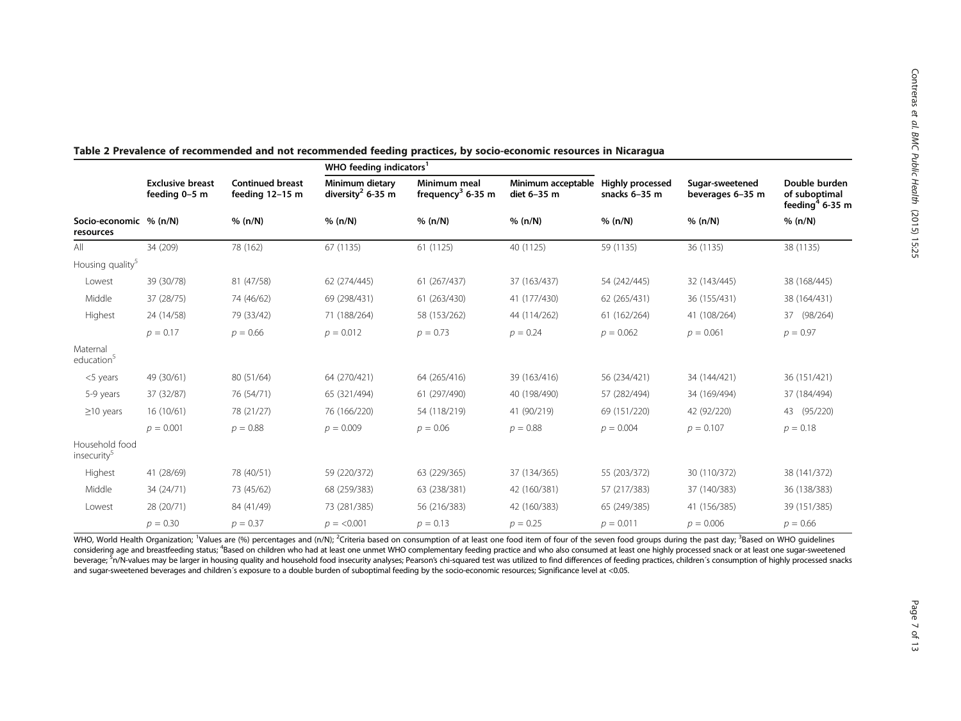|                                           |                                          |                                            | WHO feeding indicators <sup>1</sup>              |                                               |                                   |                                          |                                     |                                                               |
|-------------------------------------------|------------------------------------------|--------------------------------------------|--------------------------------------------------|-----------------------------------------------|-----------------------------------|------------------------------------------|-------------------------------------|---------------------------------------------------------------|
|                                           | <b>Exclusive breast</b><br>feeding 0-5 m | <b>Continued breast</b><br>feeding 12-15 m | Minimum dietary<br>diversity <sup>2</sup> 6-35 m | Minimum meal<br>frequency <sup>3</sup> 6-35 m | Minimum acceptable<br>diet 6-35 m | <b>Highly processed</b><br>snacks 6-35 m | Sugar-sweetened<br>beverages 6-35 m | Double burden<br>of suboptimal<br>feeding <sup>4</sup> 6-35 m |
| Socio-economic % (n/N)<br>resources       |                                          | % (n/N)                                    | % (n/N)                                          | % (n/N)                                       | % (n/N)                           | % (n/N)                                  | % (n/N)                             | % (n/N)                                                       |
| All                                       | 34 (209)                                 | 78 (162)                                   | 67 (1135)                                        | 61 (1125)                                     | 40 (1125)                         | 59 (1135)                                | 36 (1135)                           | 38 (1135)                                                     |
| Housing quality <sup>5</sup>              |                                          |                                            |                                                  |                                               |                                   |                                          |                                     |                                                               |
| Lowest                                    | 39 (30/78)                               | 81 (47/58)                                 | 62 (274/445)                                     | 61 (267/437)                                  | 37 (163/437)                      | 54 (242/445)                             | 32 (143/445)                        | 38 (168/445)                                                  |
| Middle                                    | 37 (28/75)                               | 74 (46/62)                                 | 69 (298/431)                                     | 61 (263/430)                                  | 41 (177/430)                      | 62 (265/431)                             | 36 (155/431)                        | 38 (164/431)                                                  |
| Highest                                   | 24 (14/58)                               | 79 (33/42)                                 | 71 (188/264)                                     | 58 (153/262)                                  | 44 (114/262)                      | 61 (162/264)                             | 41 (108/264)                        | (98/264)<br>37                                                |
|                                           | $p = 0.17$                               | $p = 0.66$                                 | $p = 0.012$                                      | $p = 0.73$                                    | $p = 0.24$                        | $p = 0.062$                              | $p = 0.061$                         | $p = 0.97$                                                    |
| Maternal<br>education <sup>5</sup>        |                                          |                                            |                                                  |                                               |                                   |                                          |                                     |                                                               |
| $<$ 5 years                               | 49 (30/61)                               | 80 (51/64)                                 | 64 (270/421)                                     | 64 (265/416)                                  | 39 (163/416)                      | 56 (234/421)                             | 34 (144/421)                        | 36 (151/421)                                                  |
| 5-9 years                                 | 37 (32/87)                               | 76 (54/71)                                 | 65 (321/494)                                     | 61 (297/490)                                  | 40 (198/490)                      | 57 (282/494)                             | 34 (169/494)                        | 37 (184/494)                                                  |
| $\geq$ 10 years                           | 16 (10/61)                               | 78 (21/27)                                 | 76 (166/220)                                     | 54 (118/219)                                  | 41 (90/219)                       | 69 (151/220)                             | 42 (92/220)                         | 43 (95/220)                                                   |
|                                           | $p = 0.001$                              | $p = 0.88$                                 | $p = 0.009$                                      | $p = 0.06$                                    | $p = 0.88$                        | $p = 0.004$                              | $p = 0.107$                         | $p = 0.18$                                                    |
| Household food<br>insecurity <sup>5</sup> |                                          |                                            |                                                  |                                               |                                   |                                          |                                     |                                                               |
| Highest                                   | 41 (28/69)                               | 78 (40/51)                                 | 59 (220/372)                                     | 63 (229/365)                                  | 37 (134/365)                      | 55 (203/372)                             | 30 (110/372)                        | 38 (141/372)                                                  |
| Middle                                    | 34 (24/71)                               | 73 (45/62)                                 | 68 (259/383)                                     | 63 (238/381)                                  | 42 (160/381)                      | 57 (217/383)                             | 37 (140/383)                        | 36 (138/383)                                                  |
| Lowest                                    | 28 (20/71)                               | 84 (41/49)                                 | 73 (281/385)                                     | 56 (216/383)                                  | 42 (160/383)                      | 65 (249/385)                             | 41 (156/385)                        | 39 (151/385)                                                  |
|                                           | $p = 0.30$                               | $p = 0.37$                                 | $p = 0.001$                                      | $p = 0.13$                                    | $p = 0.25$                        | $p = 0.011$                              | $p = 0.006$                         | $p = 0.66$                                                    |

## <span id="page-6-0"></span>Table 2 Prevalence of recommended and not recommended feeding practices, by socio-economic resources in Nicaragua

WHO, World Health Organization; <sup>1</sup>Values are (%) percentages and (n/N); <sup>2</sup>Criteria based on consumption of at least one food item of four of the seven food groups during the past day; <sup>3</sup>Based on WHO guidelines considering age and breastfeeding status; <sup>4</sup>Based on children who had at least one unmet WHO complementary feeding practice and who also consumed at least one highly processed snack or at least one sugar-sweetened beverage; <sup>5</sup>n/N-values may be larger in housing quality and household food insecurity analyses; Pearson's chi-squared test was utilized to find differences of feeding practices, children's consumption of highly processed and sugar-sweetened beverages and children´s exposure to a double burden of suboptimal feeding by the socio-economic resources; Significance level at <0.05.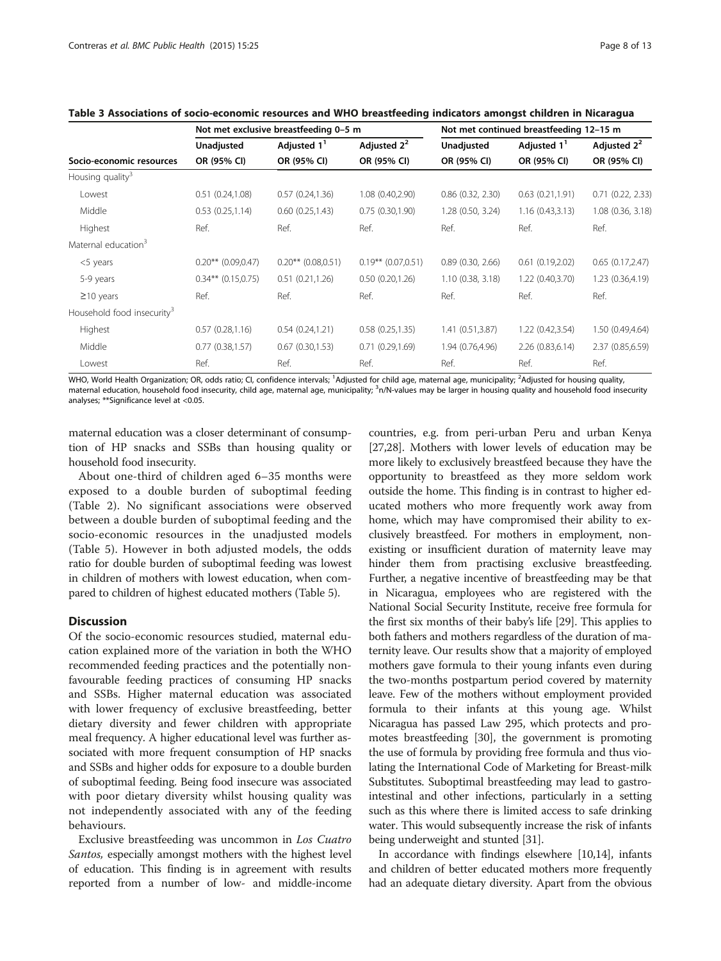|                                        |                       | Not met exclusive breastfeeding 0-5 m |                       | Not met continued breastfeeding 12-15 m |                         |                       |  |
|----------------------------------------|-----------------------|---------------------------------------|-----------------------|-----------------------------------------|-------------------------|-----------------------|--|
|                                        | <b>Unadjusted</b>     | Adjusted 1 <sup>1</sup>               | Adjusted $2^2$        | Unadjusted                              | Adjusted 1 <sup>1</sup> | Adjusted $2^2$        |  |
| Socio-economic resources               | OR (95% CI)           | OR (95% CI)                           | OR (95% CI)           | OR (95% CI)                             | OR (95% CI)             | OR (95% CI)           |  |
| Housing quality <sup>3</sup>           |                       |                                       |                       |                                         |                         |                       |  |
| Lowest                                 | 0.51(0.24, 1.08)      | 0.57(0.24, 1.36)                      | 1.08(0.40, 2.90)      | $0.86$ $(0.32, 2.30)$                   | 0.63(0.21, 1.91)        | $0.71$ $(0.22, 2.33)$ |  |
| Middle                                 | 0.53(0.25,1.14)       | 0.60(0.25, 1.43)                      | 0.75(0.30, 1.90)      | 1.28 (0.50, 3.24)                       | 1.16(0.43,3.13)         | 1.08 (0.36, 3.18)     |  |
| Highest                                | Ref.                  | Ref.                                  | Ref.                  | Ref.                                    | Ref.                    | Ref.                  |  |
| Maternal education <sup>3</sup>        |                       |                                       |                       |                                         |                         |                       |  |
| <5 years                               | $0.20***$ (0.09,0.47) | $0.20***$ $(0.08,0.51)$               | $0.19***$ (0.07,0.51) | 0.89(0.30, 2.66)                        | 0.61(0.19, 2.02)        | 0.65(0.17, 2.47)      |  |
| 5-9 years                              | $0.34***$ (0.15,0.75) | 0.51(0.21, 1.26)                      | 0.50(0.20, 1.26)      | 1.10(0.38, 3.18)                        | 1.22 (0.40,3.70)        | 1.23 (0.36,4.19)      |  |
| $\geq$ 10 years                        | Ref.                  | Ref.                                  | Ref.                  | Ref.                                    | Ref.                    | Ref.                  |  |
| Household food insecurity <sup>3</sup> |                       |                                       |                       |                                         |                         |                       |  |
| Highest                                | 0.57(0.28, 1.16)      | 0.54(0.24, 1.21)                      | 0.58(0.25, 1.35)      | 1.41 (0.51,3.87)                        | 1.22 (0.42,3.54)        | 1.50 (0.49,4.64)      |  |
| Middle                                 | 0.77(0.38, 1.57)      | 0.67(0.30, 1.53)                      | 0.71(0.29, 1.69)      | 1.94 (0.76,4.96)                        | 2.26(0.83,6.14)         | 2.37 (0.85,6.59)      |  |
| Lowest                                 | Ref.                  | Ref.                                  | Ref.                  | Ref.                                    | Ref.                    | Ref.                  |  |

<span id="page-7-0"></span>Table 3 Associations of socio-economic resources and WHO breastfeeding indicators amongst children in Nicaragua

WHO, World Health Organization; OR, odds ratio; Cl, confidence intervals; <sup>1</sup>Adjusted for child age, maternal age, municipality; <sup>2</sup>Adjusted for housing quality, maternal education, household food insecurity, child age, maternal age, municipality; <sup>3</sup>n/N-values may be larger in housing quality and household food insecurity analyses; \*\*Significance level at <0.05.

maternal education was a closer determinant of consumption of HP snacks and SSBs than housing quality or household food insecurity.

About one-third of children aged 6–35 months were exposed to a double burden of suboptimal feeding (Table [2](#page-6-0)). No significant associations were observed between a double burden of suboptimal feeding and the socio-economic resources in the unadjusted models (Table [5\)](#page-9-0). However in both adjusted models, the odds ratio for double burden of suboptimal feeding was lowest in children of mothers with lowest education, when compared to children of highest educated mothers (Table [5\)](#page-9-0).

## **Discussion**

Of the socio-economic resources studied, maternal education explained more of the variation in both the WHO recommended feeding practices and the potentially nonfavourable feeding practices of consuming HP snacks and SSBs. Higher maternal education was associated with lower frequency of exclusive breastfeeding, better dietary diversity and fewer children with appropriate meal frequency. A higher educational level was further associated with more frequent consumption of HP snacks and SSBs and higher odds for exposure to a double burden of suboptimal feeding. Being food insecure was associated with poor dietary diversity whilst housing quality was not independently associated with any of the feeding behaviours.

Exclusive breastfeeding was uncommon in Los Cuatro Santos, especially amongst mothers with the highest level of education. This finding is in agreement with results reported from a number of low- and middle-income

countries, e.g. from peri-urban Peru and urban Kenya [[27,28](#page-11-0)]. Mothers with lower levels of education may be more likely to exclusively breastfeed because they have the opportunity to breastfeed as they more seldom work outside the home. This finding is in contrast to higher educated mothers who more frequently work away from home, which may have compromised their ability to exclusively breastfeed. For mothers in employment, nonexisting or insufficient duration of maternity leave may hinder them from practising exclusive breastfeeding. Further, a negative incentive of breastfeeding may be that in Nicaragua, employees who are registered with the National Social Security Institute, receive free formula for the first six months of their baby's life [\[29\]](#page-11-0). This applies to both fathers and mothers regardless of the duration of maternity leave. Our results show that a majority of employed mothers gave formula to their young infants even during the two-months postpartum period covered by maternity leave. Few of the mothers without employment provided formula to their infants at this young age. Whilst Nicaragua has passed Law 295, which protects and promotes breastfeeding [[30](#page-11-0)], the government is promoting the use of formula by providing free formula and thus violating the International Code of Marketing for Breast-milk Substitutes. Suboptimal breastfeeding may lead to gastrointestinal and other infections, particularly in a setting such as this where there is limited access to safe drinking water. This would subsequently increase the risk of infants being underweight and stunted [\[31](#page-11-0)].

In accordance with findings elsewhere [\[10,14\]](#page-11-0), infants and children of better educated mothers more frequently had an adequate dietary diversity. Apart from the obvious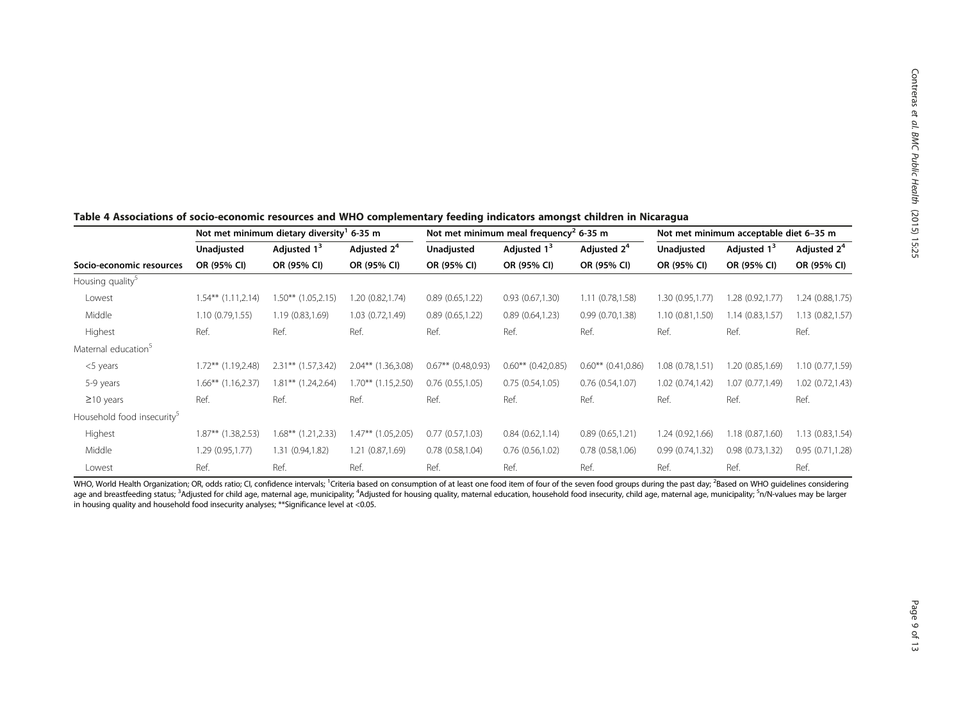Contreras

| Not met minimum dietary diversity <sup>1</sup> 6-35 m |                       |                         |                         | Not met minimum meal frequency <sup>2</sup> 6-35 m |                         |                         | Not met minimum acceptable diet 6-35 m |                         |                         |
|-------------------------------------------------------|-----------------------|-------------------------|-------------------------|----------------------------------------------------|-------------------------|-------------------------|----------------------------------------|-------------------------|-------------------------|
|                                                       | <b>Unadjusted</b>     | Adjusted 1 <sup>3</sup> | Adjusted 2 <sup>4</sup> | <b>Unadjusted</b>                                  | Adjusted 1 <sup>3</sup> | Adjusted 2 <sup>4</sup> | Unadjusted                             | Adjusted 1 <sup>3</sup> | Adjusted 2 <sup>4</sup> |
| Socio-economic resources                              | OR (95% CI)           | OR (95% CI)             | OR (95% CI)             | OR (95% CI)                                        | OR (95% CI)             | OR (95% CI)             | OR (95% CI)                            | OR (95% CI)             | OR (95% CI)             |
| Housing quality <sup>5</sup>                          |                       |                         |                         |                                                    |                         |                         |                                        |                         |                         |
| Lowest                                                | 1.54** (1.11,2.14)    | $.50***$ (1.05,2.15)    | 1.20 (0.82,1.74)        | 0.89(0.65, 1.22)                                   | 0.93(0.67, 1.30)        | 1.11 (0.78,1.58)        | 1.30 (0.95,1.77)                       | 1.28 (0.92,1.77)        | 1.24 (0.88,1.75)        |
| Middle                                                | 1.10(0.79, 1.55)      | 1.19 (0.83,1.69)        | 1.03(0.72, 1.49)        | 0.89(0.65, 1.22)                                   | 0.89(0.64, 1.23)        | 0.99(0.70, 1.38)        | 1.10(0.81, 1.50)                       | 1.14(0.83, 1.57)        | 1.13 (0.82,1.57)        |
| Highest                                               | Ref.                  | Ref.                    | Ref.                    | Ref.                                               | Ref.                    | Ref.                    | Ref.                                   | Ref.                    | Ref.                    |
| Maternal education <sup>5</sup>                       |                       |                         |                         |                                                    |                         |                         |                                        |                         |                         |
| $<$ 5 years                                           | $1.72***$ (1.19,2.48) | $2.31***$ (1.57,3.42)   | 2.04** (1.36,3.08)      | $0.67**$ (0.48,0.93)                               | $0.60**$ (0.42,0.85)    | $0.60**$ (0.41,0.86)    | 1.08 (0.78,1.51)                       | 1.20 (0.85,1.69)        | 1.10 (0.77,1.59)        |
| 5-9 years                                             | $1.66***$ (1.16,2.37) | 1.81** (1.24,2.64)      | 1.70** (1.15,2.50)      | 0.76(0.55,1.05)                                    | 0.75(0.54, 1.05)        | 0.76(0.54,1.07)         | 1.02(0.74, 1.42)                       | 1.07 (0.77,1.49)        | 1.02 (0.72,1.43)        |
| $\geq$ 10 years                                       | Ref.                  | Ref.                    | Ref.                    | Ref.                                               | Ref.                    | Ref.                    | Ref.                                   | Ref.                    | Ref.                    |
| Household food insecurity <sup>5</sup>                |                       |                         |                         |                                                    |                         |                         |                                        |                         |                         |
| Highest                                               | 1.87** (1.38,2.53)    | 1.68** (1.21,2.33)      | 1.47** (1.05,2.05)      | 0.77(0.57,1.03)                                    | 0.84(0.62,1.14)         | 0.89(0.65, 1.21)        | 1.24 (0.92,1.66)                       | 1.18 (0.87,1.60)        | 1.13 (0.83,1.54)        |
| Middle                                                | 1.29 (0.95,1.77)      | 1.31 (0.94,1.82)        | 1.21 (0.87,1.69)        | 0.78(0.58, 1.04)                                   | 0.76(0.56, 1.02)        | 0.78(0.58, 1.06)        | 0.99(0.74, 1.32)                       | 0.98(0.73, 1.32)        | 0.95(0.71, 1.28)        |
| Lowest                                                | Ref.                  | Ref.                    | Ref.                    | Ref.                                               | Ref.                    | Ref.                    | Ref.                                   | Ref.                    | Ref.                    |

## <span id="page-8-0"></span>Table 4 Associations of socio-economic resources and WHO complementary feeding indicators amongst children in Nicaragua

WHO, World Health Organization; OR, odds ratio; CI, confidence intervals; <sup>1</sup>Criteria based on consumption of at least one food item of four of the seven food groups during the past day; <sup>2</sup>Based on WHO guidelines consider age and breastfeeding status; <sup>3</sup>Adjusted for child age, maternal age, municipality; <sup>4</sup>Adjusted for housing quality, maternal education, household food insecurity, child age, maternal age, municipality; <sup>5</sup>n/N-values may in housing quality and household food insecurity analyses; \*\*Significance level at <0.05.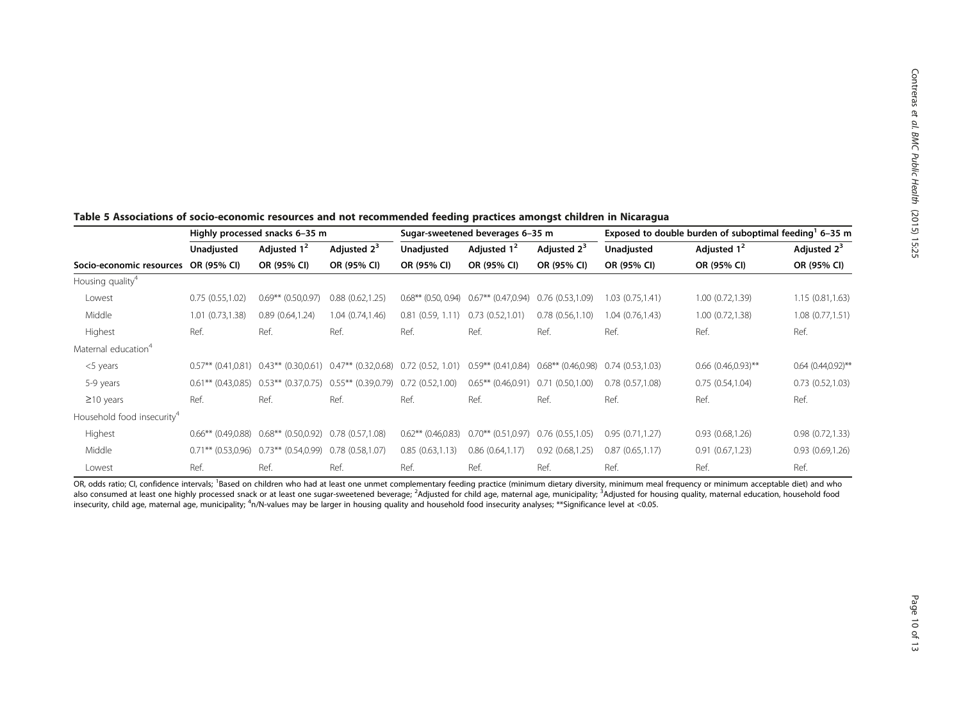|                                        | Highly processed snacks 6-35 m |                         |                       | Sugar-sweetened beverages 6-35 m |                         |                       | Exposed to double burden of suboptimal feeding <sup>1</sup> 6-35 m |                          |                      |
|----------------------------------------|--------------------------------|-------------------------|-----------------------|----------------------------------|-------------------------|-----------------------|--------------------------------------------------------------------|--------------------------|----------------------|
|                                        | <b>Unadjusted</b>              | Adjusted $1^2$          | Adjusted $2^3$        | <b>Unadjusted</b>                | Adjusted 1 <sup>2</sup> | Adjusted $2^3$        | Unadjusted                                                         | Adjusted $1^2$           | Adjusted $2^3$       |
| Socio-economic resources               | OR (95% CI)                    | OR (95% CI)             | OR (95% CI)           | OR (95% CI)                      | OR (95% CI)             | OR (95% CI)           | OR (95% CI)                                                        | OR (95% CI)              | OR (95% CI)          |
| Housing quality <sup>4</sup>           |                                |                         |                       |                                  |                         |                       |                                                                    |                          |                      |
| Lowest                                 | 0.75(0.55,1.02)                | $0.69***$ (0.50,0.97)   | 0.88(0.62, 1.25)      | $0.68***$ (0.50, 0.94)           | $0.67***$ (0.47,0.94)   | 0.76(0.53,1.09)       | 1.03(0.75,1.41)                                                    | 1.00 (0.72,1.39)         | 1.15(0.81, 1.63)     |
| Middle                                 | 1.01(0.73, 1.38)               | 0.89(0.64, 1.24)        | 1.04 (0.74,1.46)      | 0.81(0.59, 1.11)                 | 0.73(0.52,1.01)         | 0.78(0.56, 1.10)      | 1.04(0.76, 1.43)                                                   | 1.00(0.72, 1.38)         | 1.08(0.77,1.51)      |
| Highest                                | Ref.                           | Ref.                    | Ref.                  | Ref.                             | Ref.                    | Ref.                  | Ref.                                                               | Ref.                     | Ref.                 |
| Maternal education <sup>4</sup>        |                                |                         |                       |                                  |                         |                       |                                                                    |                          |                      |
| $<$ 5 years                            | $0.57***$ (0.41,0.81)          | $0.43***$ $(0.30,0.61)$ | $0.47***$ (0.32,0.68) | 0.72(0.52, 1.01)                 | $0.59***$ (0.41,0.84)   | $0.68***$ (0.46,0.98) | 0.74(0.53.1.03)                                                    | $0.66$ $(0.46, 0.93)$ ** | $0.64$ (0.44,0.92)** |
| 5-9 years                              | $0.61***$ (0.43,0.85)          | $0.53***$ (0.37,0.75)   | $0.55***$ (0.39,0.79) | 0.72(0.52,1.00)                  | $0.65***$ (0.46,0.91)   | 0.71(0.50,1.00)       | 0.78(0.57.1.08)                                                    | 0.75(0.54,1.04)          | 0.73(0.52,1.03)      |
| $\geq$ 10 years                        | Ref.                           | Ref.                    | Ref.                  | Ref.                             | Ref.                    | Ref.                  | Ref.                                                               | Ref.                     | Ref.                 |
| Household food insecurity <sup>4</sup> |                                |                         |                       |                                  |                         |                       |                                                                    |                          |                      |
| Highest                                | $0.66***$ (0.49.0.88)          | $0.68**$ (0.50,0.92)    | 0.78(0.57,1.08)       | $0.62***$ (0.46,0.83)            | $0.70***$ (0.51,0.97)   | 0.76(0.55,1.05)       | 0.95(0.71,1.27)                                                    | 0.93(0.68, 1.26)         | 0.98(0.72, 1.33)     |
| Middle                                 | $0.71***$ (0.53,0.96)          | $0.73***$ (0.54,0.99)   | 0.78(0.58, 1.07)      | 0.85(0.63,1.13)                  | 0.86(0.64,1.17)         | 0.92(0.68, 1.25)      | 0.87(0.65,1.17)                                                    | 0.91(0.67, 1.23)         | 0.93(0.69, 1.26)     |
| Lowest                                 | Ref.                           | Ref.                    | Ref.                  | Ref.                             | Ref.                    | Ref.                  | Ref.                                                               | Ref.                     | Ref.                 |

## <span id="page-9-0"></span>Table 5 Associations of socio-economic resources and not recommended feeding practices amongst children in Nicaragua

OR, odds ratio; CI, confidence intervals; <sup>1</sup>Based on children who had at least one unmet complementary feeding practice (minimum dietary diversity, minimum meal frequency or minimum acceptable diet) and who also consumed at least one highly processed snack or at least one sugar-sweetened beverage; <sup>2</sup>Adjusted for child age, maternal age, municipality; <sup>3</sup>Adjusted for housing quality, maternal education, household food<br>insecur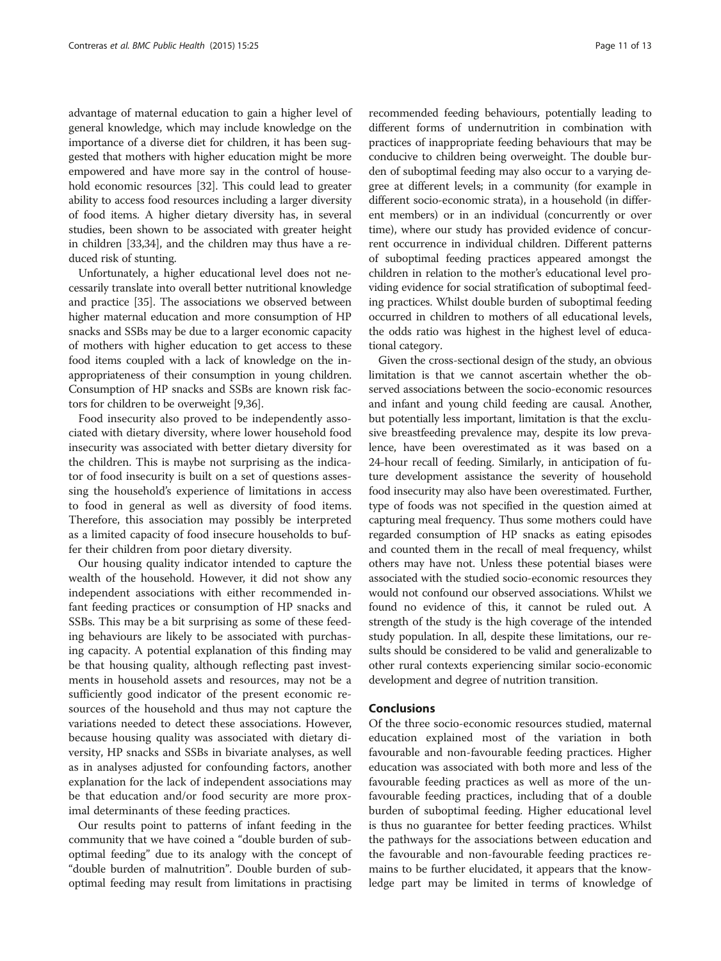advantage of maternal education to gain a higher level of general knowledge, which may include knowledge on the importance of a diverse diet for children, it has been suggested that mothers with higher education might be more empowered and have more say in the control of household economic resources [\[32\]](#page-12-0). This could lead to greater ability to access food resources including a larger diversity of food items. A higher dietary diversity has, in several studies, been shown to be associated with greater height in children [\[33,34\]](#page-12-0), and the children may thus have a reduced risk of stunting.

Unfortunately, a higher educational level does not necessarily translate into overall better nutritional knowledge and practice [[35](#page-12-0)]. The associations we observed between higher maternal education and more consumption of HP snacks and SSBs may be due to a larger economic capacity of mothers with higher education to get access to these food items coupled with a lack of knowledge on the inappropriateness of their consumption in young children. Consumption of HP snacks and SSBs are known risk factors for children to be overweight [\[9](#page-11-0)[,36\]](#page-12-0).

Food insecurity also proved to be independently associated with dietary diversity, where lower household food insecurity was associated with better dietary diversity for the children. This is maybe not surprising as the indicator of food insecurity is built on a set of questions assessing the household's experience of limitations in access to food in general as well as diversity of food items. Therefore, this association may possibly be interpreted as a limited capacity of food insecure households to buffer their children from poor dietary diversity.

Our housing quality indicator intended to capture the wealth of the household. However, it did not show any independent associations with either recommended infant feeding practices or consumption of HP snacks and SSBs. This may be a bit surprising as some of these feeding behaviours are likely to be associated with purchasing capacity. A potential explanation of this finding may be that housing quality, although reflecting past investments in household assets and resources, may not be a sufficiently good indicator of the present economic resources of the household and thus may not capture the variations needed to detect these associations. However, because housing quality was associated with dietary diversity, HP snacks and SSBs in bivariate analyses, as well as in analyses adjusted for confounding factors, another explanation for the lack of independent associations may be that education and/or food security are more proximal determinants of these feeding practices.

Our results point to patterns of infant feeding in the community that we have coined a "double burden of suboptimal feeding" due to its analogy with the concept of "double burden of malnutrition". Double burden of suboptimal feeding may result from limitations in practising

recommended feeding behaviours, potentially leading to different forms of undernutrition in combination with practices of inappropriate feeding behaviours that may be conducive to children being overweight. The double burden of suboptimal feeding may also occur to a varying degree at different levels; in a community (for example in different socio-economic strata), in a household (in different members) or in an individual (concurrently or over time), where our study has provided evidence of concurrent occurrence in individual children. Different patterns of suboptimal feeding practices appeared amongst the children in relation to the mother's educational level providing evidence for social stratification of suboptimal feeding practices. Whilst double burden of suboptimal feeding occurred in children to mothers of all educational levels, the odds ratio was highest in the highest level of educational category.

Given the cross-sectional design of the study, an obvious limitation is that we cannot ascertain whether the observed associations between the socio-economic resources and infant and young child feeding are causal. Another, but potentially less important, limitation is that the exclusive breastfeeding prevalence may, despite its low prevalence, have been overestimated as it was based on a 24-hour recall of feeding. Similarly, in anticipation of future development assistance the severity of household food insecurity may also have been overestimated. Further, type of foods was not specified in the question aimed at capturing meal frequency. Thus some mothers could have regarded consumption of HP snacks as eating episodes and counted them in the recall of meal frequency, whilst others may have not. Unless these potential biases were associated with the studied socio-economic resources they would not confound our observed associations. Whilst we found no evidence of this, it cannot be ruled out. A strength of the study is the high coverage of the intended study population. In all, despite these limitations, our results should be considered to be valid and generalizable to other rural contexts experiencing similar socio-economic development and degree of nutrition transition.

#### Conclusions

Of the three socio-economic resources studied, maternal education explained most of the variation in both favourable and non-favourable feeding practices. Higher education was associated with both more and less of the favourable feeding practices as well as more of the unfavourable feeding practices, including that of a double burden of suboptimal feeding. Higher educational level is thus no guarantee for better feeding practices. Whilst the pathways for the associations between education and the favourable and non-favourable feeding practices remains to be further elucidated, it appears that the knowledge part may be limited in terms of knowledge of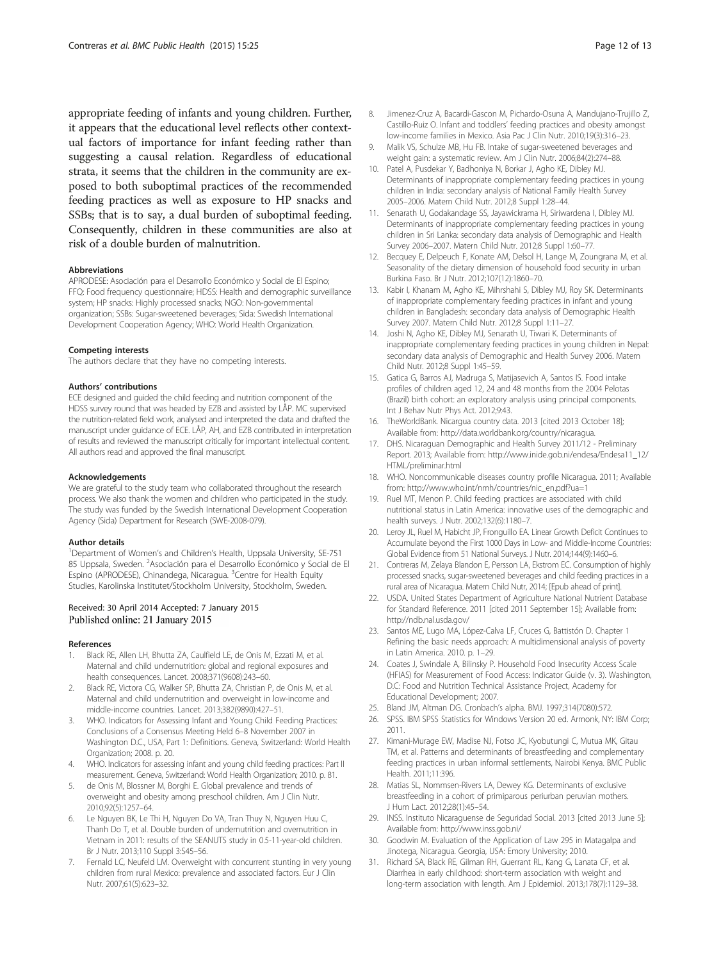<span id="page-11-0"></span>appropriate feeding of infants and young children. Further, it appears that the educational level reflects other contextual factors of importance for infant feeding rather than suggesting a causal relation. Regardless of educational strata, it seems that the children in the community are exposed to both suboptimal practices of the recommended feeding practices as well as exposure to HP snacks and SSBs; that is to say, a dual burden of suboptimal feeding. Consequently, children in these communities are also at risk of a double burden of malnutrition.

#### Abbreviations

APRODESE: Asociación para el Desarrollo Económico y Social de El Espino; FFQ: Food frequency questionnaire; HDSS: Health and demographic surveillance system; HP snacks: Highly processed snacks; NGO: Non-governmental organization; SSBs: Sugar-sweetened beverages; Sida: Swedish International Development Cooperation Agency; WHO: World Health Organization.

#### Competing interests

The authors declare that they have no competing interests.

#### Authors' contributions

ECE designed and guided the child feeding and nutrition component of the HDSS survey round that was headed by EZB and assisted by LÅP. MC supervised the nutrition-related field work, analysed and interpreted the data and drafted the manuscript under guidance of ECE. LÅP, AH, and EZB contributed in interpretation of results and reviewed the manuscript critically for important intellectual content. All authors read and approved the final manuscript.

#### Acknowledgements

We are grateful to the study team who collaborated throughout the research process. We also thank the women and children who participated in the study. The study was funded by the Swedish International Development Cooperation Agency (Sida) Department for Research (SWE-2008-079).

#### Author details

<sup>1</sup>Department of Women's and Children's Health, Uppsala University, SE-751 85 Uppsala, Sweden. <sup>2</sup>Asociación para el Desarrollo Económico y Social de El Espino (APRODESE), Chinandega, Nicaragua. <sup>3</sup>Centre for Health Equity Studies, Karolinska Institutet/Stockholm University, Stockholm, Sweden.

#### Received: 30 April 2014 Accepted: 7 January 2015 Published online: 21 January 2015

#### References

- 1. Black RE, Allen LH, Bhutta ZA, Caulfield LE, de Onis M, Ezzati M, et al. Maternal and child undernutrition: global and regional exposures and health consequences. Lancet. 2008;371(9608):243–60.
- 2. Black RE, Victora CG, Walker SP, Bhutta ZA, Christian P, de Onis M, et al. Maternal and child undernutrition and overweight in low-income and middle-income countries. Lancet. 2013;382(9890):427–51.
- 3. WHO. Indicators for Assessing Infant and Young Child Feeding Practices: Conclusions of a Consensus Meeting Held 6–8 November 2007 in Washington D.C., USA, Part 1: Definitions. Geneva, Switzerland: World Health Organization; 2008. p. 20.
- 4. WHO. Indicators for assessing infant and young child feeding practices: Part II measurement. Geneva, Switzerland: World Health Organization; 2010. p. 81.
- 5. de Onis M, Blossner M, Borghi E. Global prevalence and trends of overweight and obesity among preschool children. Am J Clin Nutr. 2010;92(5):1257–64.
- 6. Le Nguyen BK, Le Thi H, Nguyen Do VA, Tran Thuy N, Nguyen Huu C, Thanh Do T, et al. Double burden of undernutrition and overnutrition in Vietnam in 2011: results of the SEANUTS study in 0.5-11-year-old children. Br J Nutr. 2013;110 Suppl 3:S45–56.
- 7. Fernald LC, Neufeld LM. Overweight with concurrent stunting in very young children from rural Mexico: prevalence and associated factors. Eur J Clin Nutr. 2007;61(5):623–32.
- 8. Jimenez-Cruz A, Bacardi-Gascon M, Pichardo-Osuna A, Mandujano-Trujillo Z, Castillo-Ruiz O. Infant and toddlers' feeding practices and obesity amongst low-income families in Mexico. Asia Pac J Clin Nutr. 2010;19(3):316–23.
- 9. Malik VS, Schulze MB, Hu FB. Intake of sugar-sweetened beverages and weight gain: a systematic review. Am J Clin Nutr. 2006;84(2):274–88.
- 10. Patel A, Pusdekar Y, Badhoniya N, Borkar J, Agho KE, Dibley MJ. Determinants of inappropriate complementary feeding practices in young children in India: secondary analysis of National Family Health Survey 2005–2006. Matern Child Nutr. 2012;8 Suppl 1:28–44.
- 11. Senarath U, Godakandage SS, Jayawickrama H, Siriwardena I, Dibley MJ. Determinants of inappropriate complementary feeding practices in young children in Sri Lanka: secondary data analysis of Demographic and Health Survey 2006–2007. Matern Child Nutr. 2012;8 Suppl 1:60–77.
- 12. Becquey E, Delpeuch F, Konate AM, Delsol H, Lange M, Zoungrana M, et al. Seasonality of the dietary dimension of household food security in urban Burkina Faso. Br J Nutr. 2012;107(12):1860–70.
- 13. Kabir I, Khanam M, Agho KE, Mihrshahi S, Dibley MJ, Roy SK. Determinants of inappropriate complementary feeding practices in infant and young children in Bangladesh: secondary data analysis of Demographic Health Survey 2007. Matern Child Nutr. 2012;8 Suppl 1:11–27.
- 14. Joshi N, Agho KE, Dibley MJ, Senarath U, Tiwari K. Determinants of inappropriate complementary feeding practices in young children in Nepal: secondary data analysis of Demographic and Health Survey 2006. Matern Child Nutr. 2012;8 Suppl 1:45–59.
- 15. Gatica G, Barros AJ, Madruga S, Matijasevich A, Santos IS. Food intake profiles of children aged 12, 24 and 48 months from the 2004 Pelotas (Brazil) birth cohort: an exploratory analysis using principal components. Int J Behav Nutr Phys Act. 2012;9:43.
- 16. TheWorldBank. Nicargua country data. 2013 [cited 2013 October 18]; Available from: [http://data.worldbank.org/country/nicaragua.](http://data.worldbank.org/country/nicaragua)
- 17. DHS. Nicaraguan Demographic and Health Survey 2011/12 Preliminary Report. 2013; Available from: [http://www.inide.gob.ni/endesa/Endesa11\\_12/](http://www.inide.gob.ni/endesa/Endesa11_12/HTML/preliminar.html) [HTML/preliminar.html](http://www.inide.gob.ni/endesa/Endesa11_12/HTML/preliminar.html)
- 18. WHO. Noncommunicable diseases country profile Nicaragua. 2011; Available from: [http://www.who.int/nmh/countries/nic\\_en.pdf?ua=1](http://www.who.int/nmh/countries/nic_en.pdf?ua=1)
- 19. Ruel MT, Menon P. Child feeding practices are associated with child nutritional status in Latin America: innovative uses of the demographic and health surveys. J Nutr. 2002;132(6):1180–7.
- 20. Leroy JL, Ruel M, Habicht JP, Fronguillo EA. Linear Growth Deficit Continues to Accumulate beyond the First 1000 Days in Low- and Middle-Income Countries: Global Evidence from 51 National Surveys. J Nutr. 2014;144(9):1460–6.
- 21. Contreras M, Zelaya Blandon E, Persson LA, Ekstrom EC. Consumption of highly processed snacks, sugar-sweetened beverages and child feeding practices in a rural area of Nicaragua. Matern Child Nutr, 2014; [Epub ahead of print].
- 22. USDA. United States Department of Agriculture National Nutrient Database for Standard Reference. 2011 [cited 2011 September 15]; Available from: <http://ndb.nal.usda.gov/>
- 23. Santos ME, Lugo MA, López-Calva LF, Cruces G, Battistón D. Chapter 1 Refining the basic needs approach: A multidimensional analysis of poverty in Latin America. 2010. p. 1–29.
- 24. Coates J, Swindale A, Bilinsky P. Household Food Insecurity Access Scale (HFIAS) for Measurement of Food Access: Indicator Guide (v. 3). Washington, D.C: Food and Nutrition Technical Assistance Project, Academy for Educational Development; 2007.
- 25. Bland JM, Altman DG. Cronbach's alpha. BMJ. 1997;314(7080):572.
- 26. SPSS. IBM SPSS Statistics for Windows Version 20 ed. Armonk, NY: IBM Corp; 2011.
- 27. Kimani-Murage EW, Madise NJ, Fotso JC, Kyobutungi C, Mutua MK, Gitau TM, et al. Patterns and determinants of breastfeeding and complementary feeding practices in urban informal settlements, Nairobi Kenya. BMC Public Health. 2011;11:396.
- 28. Matias SL, Nommsen-Rivers LA, Dewey KG. Determinants of exclusive breastfeeding in a cohort of primiparous periurban peruvian mothers. J Hum Lact. 2012;28(1):45–54.
- 29. INSS. Instituto Nicaraguense de Seguridad Social. 2013 [cited 2013 June 5]; Available from:<http://www.inss.gob.ni/>
- 30. Goodwin M. Evaluation of the Application of Law 295 in Matagalpa and Jinotega, Nicaragua. Georgia, USA: Emory University; 2010.
- 31. Richard SA, Black RE, Gilman RH, Guerrant RL, Kang G, Lanata CF, et al. Diarrhea in early childhood: short-term association with weight and long-term association with length. Am J Epidemiol. 2013;178(7):1129–38.